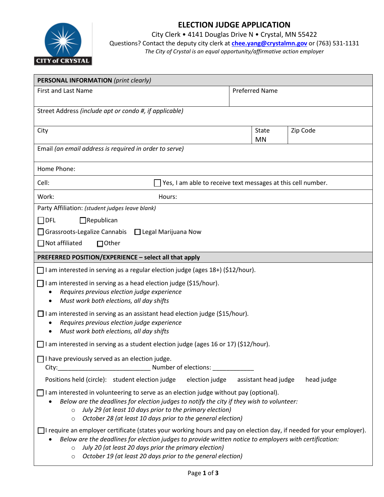

# **ELECTION JUDGE APPLICATION**

City Clerk • 4141 Douglas Drive N • Crystal, MN 55422

Questions? Contact the deputy city clerk at **[chee.yang@crystalmn.gov](mailto:chee.yang@crystalmn.gov)** or (763) 531-1131 *The City of Crystal is an equal opportunity/affirmative action employer*

| <b>PERSONAL INFORMATION</b> (print clearly)                                                                                                                                                                                                                                                                                                |  |                       |            |  |  |  |
|--------------------------------------------------------------------------------------------------------------------------------------------------------------------------------------------------------------------------------------------------------------------------------------------------------------------------------------------|--|-----------------------|------------|--|--|--|
| <b>First and Last Name</b>                                                                                                                                                                                                                                                                                                                 |  | <b>Preferred Name</b> |            |  |  |  |
| Street Address (include apt or condo #, if applicable)                                                                                                                                                                                                                                                                                     |  |                       |            |  |  |  |
| City                                                                                                                                                                                                                                                                                                                                       |  | State<br><b>MN</b>    | Zip Code   |  |  |  |
| Email (an email address is required in order to serve)                                                                                                                                                                                                                                                                                     |  |                       |            |  |  |  |
| Home Phone:                                                                                                                                                                                                                                                                                                                                |  |                       |            |  |  |  |
| Cell:<br>Yes, I am able to receive text messages at this cell number.                                                                                                                                                                                                                                                                      |  |                       |            |  |  |  |
| Work:<br>Hours:                                                                                                                                                                                                                                                                                                                            |  |                       |            |  |  |  |
| Party Affiliation: (student judges leave blank)                                                                                                                                                                                                                                                                                            |  |                       |            |  |  |  |
| $\Box$ DFL<br>$\Box$ Republican                                                                                                                                                                                                                                                                                                            |  |                       |            |  |  |  |
| □ Grassroots-Legalize Cannabis □ Legal Marijuana Now                                                                                                                                                                                                                                                                                       |  |                       |            |  |  |  |
| $\Box$ Not affiliated<br>$\Box$ Other                                                                                                                                                                                                                                                                                                      |  |                       |            |  |  |  |
| PREFERRED POSITION/EXPERIENCE - select all that apply                                                                                                                                                                                                                                                                                      |  |                       |            |  |  |  |
| $\Box$ I am interested in serving as a regular election judge (ages 18+) (\$12/hour).                                                                                                                                                                                                                                                      |  |                       |            |  |  |  |
| I am interested in serving as a head election judge (\$15/hour).<br>Requires previous election judge experience<br>Must work both elections, all day shifts                                                                                                                                                                                |  |                       |            |  |  |  |
| $\Box$ I am interested in serving as an assistant head election judge (\$15/hour).<br>Requires previous election judge experience<br>Must work both elections, all day shifts                                                                                                                                                              |  |                       |            |  |  |  |
| □ I am interested in serving as a student election judge (ages 16 or 17) (\$12/hour).                                                                                                                                                                                                                                                      |  |                       |            |  |  |  |
| $\Box$ I have previously served as an election judge.                                                                                                                                                                                                                                                                                      |  |                       |            |  |  |  |
| Positions held (circle): student election judge<br>election judge                                                                                                                                                                                                                                                                          |  | assistant head judge  | head judge |  |  |  |
| $\Box$ I am interested in volunteering to serve as an election judge without pay (optional).<br>Below are the deadlines for election judges to notify the city if they wish to volunteer:<br>July 29 (at least 10 days prior to the primary election)<br>$\circ$<br>October 28 (at least 10 days prior to the general election)<br>$\circ$ |  |                       |            |  |  |  |
| $\Box$ I require an employer certificate (states your working hours and pay on election day, if needed for your employer).<br>Below are the deadlines for election judges to provide written notice to employers with certification:<br>July 20 (at least 20 days prior the primary election)<br>$\circ$                                   |  |                       |            |  |  |  |

o *October 19 (at least 20 days prior to the general election)*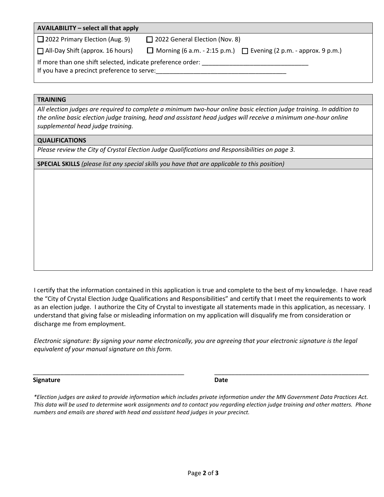| AVAILABILITY - select all that apply                                                                       |                                                                              |  |  |  |  |
|------------------------------------------------------------------------------------------------------------|------------------------------------------------------------------------------|--|--|--|--|
| $\Box$ 2022 Primary Election (Aug. 9)                                                                      | $\Box$ 2022 General Election (Nov. 8)                                        |  |  |  |  |
| $\Box$ All-Day Shift (approx. 16 hours)                                                                    | $\Box$ Morning (6 a.m. - 2:15 p.m.) $\Box$ Evening (2 p.m. - approx. 9 p.m.) |  |  |  |  |
| If more than one shift selected, indicate preference order:<br>If you have a precinct preference to serve: |                                                                              |  |  |  |  |

## **TRAINING**

| All election judges are required to complete a minimum two-hour online basic election judge training. In addition to |
|----------------------------------------------------------------------------------------------------------------------|
| the online basic election judge training, head and assistant head judges will receive a minimum one-hour online      |
| supplemental head judge training.                                                                                    |

## **QUALIFICATIONS**

*Please review the City of Crystal Election Judge Qualifications and Responsibilities on page 3.* 

**SPECIAL SKILLS** *(please list any special skills you have that are applicable to this position)*

I certify that the information contained in this application is true and complete to the best of my knowledge. I have read the "City of Crystal Election Judge Qualifications and Responsibilities" and certify that I meet the requirements to work as an election judge. I authorize the City of Crystal to investigate all statements made in this application, as necessary. I understand that giving false or misleading information on my application will disqualify me from consideration or discharge me from employment.

*Electronic signature: By signing your name electronically, you are agreeing that your electronic signature is the legal equivalent of your manual signature on this form.* 

**Signature Date**

*\*Election judges are asked to provide information which includes private information under the MN Government Data Practices Act. This data will be used to determine work assignments and to contact you regarding election judge training and other matters. Phone numbers and emails are shared with head and assistant head judges in your precinct.*

\_\_\_\_\_\_\_\_\_\_\_\_\_\_\_\_\_\_\_\_\_\_\_\_\_\_\_\_\_\_\_\_\_\_\_\_\_\_\_\_\_\_\_\_ \_\_\_\_\_\_\_\_\_\_\_\_\_\_\_\_\_\_\_\_\_\_\_\_\_\_\_\_\_\_\_\_\_\_\_\_\_\_\_\_\_\_\_\_\_